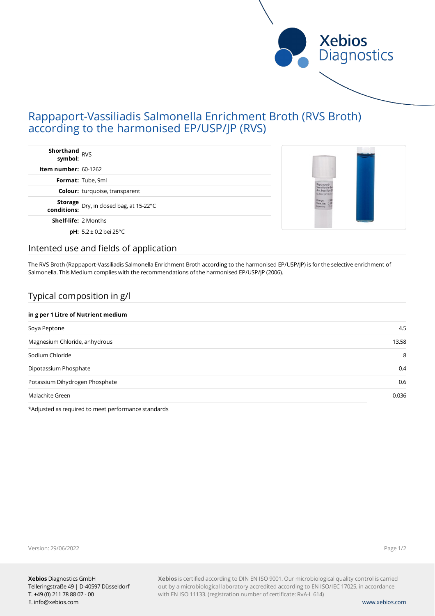

# Rappaport-Vassiliadis Salmonella Enrichment Broth (RVS Broth) according to the harmonised EP/USP/JP (RVS)

| <b>Shorthand</b><br>symbol: RVS                           |                                              |
|-----------------------------------------------------------|----------------------------------------------|
| Item number: $60-1262$                                    |                                              |
| Format: Tube, 9ml                                         |                                              |
| <b>Colour:</b> turquoise, transparent                     | Rappaport<br>Anr.bouillon<br>80-1262 (IRVS). |
| <b>Storage</b> Dry, in closed bag, at 15-22°C conditions: | Charge: 12<br>Verw. bis: 23<br>Liqenung: 15  |
| <b>Shelf-life: 2 Months</b>                               |                                              |
| <b>pH:</b> $5.2 \pm 0.2$ bei 25°C                         |                                              |

### Intented use and fields of application

The RVS Broth (Rappaport-Vassiliadis Salmonella Enrichment Broth according to the harmonised EP/USP/JP) is for the selective enrichment of Salmonella. This Medium complies with the recommendations of the harmonised EP/USP/JP (2006).

# Typical composition in g/l

#### **in g per 1 Litre of Nutrient medium**

| Soya Peptone                   | 4.5   |
|--------------------------------|-------|
| Magnesium Chloride, anhydrous  | 13.58 |
| Sodium Chloride                | 8     |
| Dipotassium Phosphate          | 0.4   |
| Potassium Dihydrogen Phosphate | 0.6   |
| Malachite Green                | 0.036 |
|                                |       |

\*Adjusted as required to meet performance standards

Version: 29/06/2022

Page 1/2

**Xebios** is certified according to DIN EN ISO 9001. Our microbiological quality control is carried out by a microbiological laboratory accredited according to EN ISO/IEC 17025, in accordance with EN ISO 11133. (registration number of certificate: RvA-L 614)